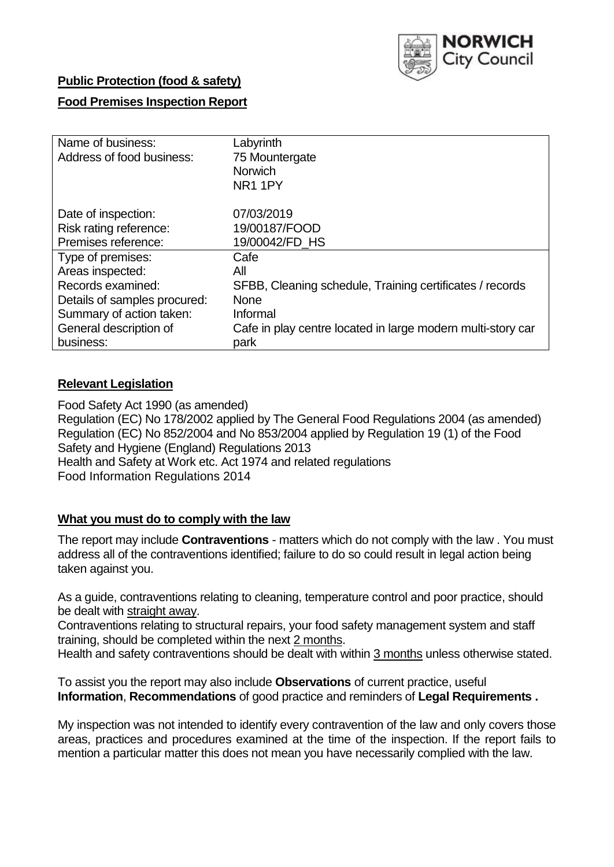

### **Public Protection (food & safety)**

### **Food Premises Inspection Report**

| Name of business:<br>Address of food business: | Labyrinth<br>75 Mountergate<br><b>Norwich</b><br>NR <sub>1</sub> 1PY |
|------------------------------------------------|----------------------------------------------------------------------|
| Date of inspection:                            | 07/03/2019                                                           |
| Risk rating reference:                         | 19/00187/FOOD                                                        |
| Premises reference:                            | 19/00042/FD HS                                                       |
| Type of premises:                              | Cafe                                                                 |
| Areas inspected:                               | All                                                                  |
| Records examined:                              | SFBB, Cleaning schedule, Training certificates / records             |
| Details of samples procured:                   | <b>None</b>                                                          |
| Summary of action taken:                       | Informal                                                             |
| General description of                         | Cafe in play centre located in large modern multi-story car          |
| business:                                      | park                                                                 |

### **Relevant Legislation**

Food Safety Act 1990 (as amended) Regulation (EC) No 178/2002 applied by The General Food Regulations 2004 (as amended) Regulation (EC) No 852/2004 and No 853/2004 applied by Regulation 19 (1) of the Food Safety and Hygiene (England) Regulations 2013 Health and Safety at Work etc. Act 1974 and related regulations Food Information Regulations 2014

#### **What you must do to comply with the law**

The report may include **Contraventions** - matters which do not comply with the law . You must address all of the contraventions identified; failure to do so could result in legal action being taken against you.

As a guide, contraventions relating to cleaning, temperature control and poor practice, should be dealt with straight away.

Contraventions relating to structural repairs, your food safety management system and staff training, should be completed within the next 2 months.

Health and safety contraventions should be dealt with within 3 months unless otherwise stated.

To assist you the report may also include **Observations** of current practice, useful **Information**, **Recommendations** of good practice and reminders of **Legal Requirements .**

My inspection was not intended to identify every contravention of the law and only covers those areas, practices and procedures examined at the time of the inspection. If the report fails to mention a particular matter this does not mean you have necessarily complied with the law.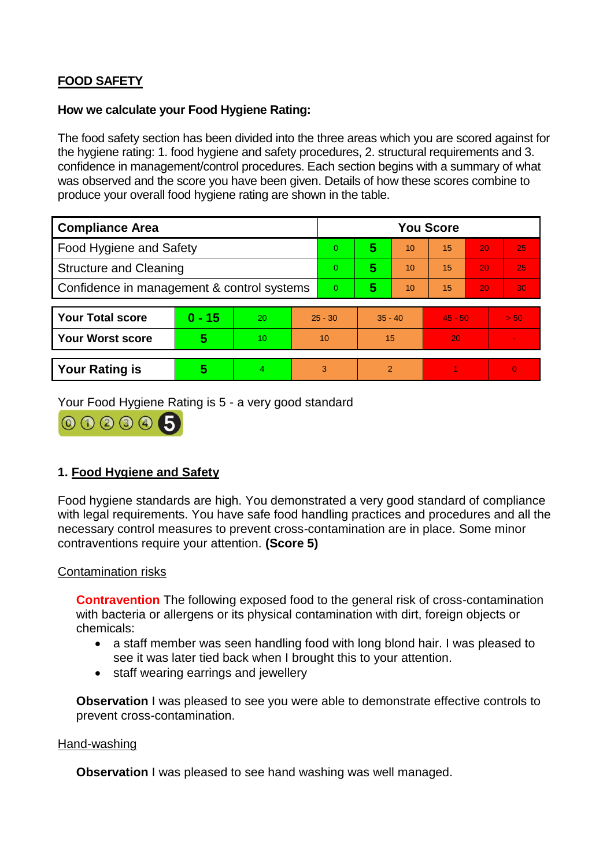# **FOOD SAFETY**

#### **How we calculate your Food Hygiene Rating:**

The food safety section has been divided into the three areas which you are scored against for the hygiene rating: 1. food hygiene and safety procedures, 2. structural requirements and 3. confidence in management/control procedures. Each section begins with a summary of what was observed and the score you have been given. Details of how these scores combine to produce your overall food hygiene rating are shown in the table.

| <b>Compliance Area</b>                     |          |    |                | <b>You Score</b> |           |    |           |    |                |  |  |
|--------------------------------------------|----------|----|----------------|------------------|-----------|----|-----------|----|----------------|--|--|
| Food Hygiene and Safety                    |          |    |                | $\Omega$         | 5         | 10 | 15        | 20 | 25             |  |  |
| <b>Structure and Cleaning</b>              |          |    | $\overline{0}$ | 5                | 10        | 15 | 20        | 25 |                |  |  |
| Confidence in management & control systems |          |    | $\overline{0}$ | 5                | 10        | 15 | 20        | 30 |                |  |  |
|                                            |          |    |                |                  |           |    |           |    |                |  |  |
| <b>Your Total score</b>                    | $0 - 15$ | 20 | $25 - 30$      |                  | $35 - 40$ |    | $45 - 50$ |    | > 50           |  |  |
| <b>Your Worst score</b>                    | 5        | 10 | 10             |                  | 15        |    | 20        |    |                |  |  |
|                                            |          |    |                |                  |           |    |           |    |                |  |  |
| <b>Your Rating is</b>                      | 5        | 4. | 3              |                  | 2         |    |           |    | $\overline{0}$ |  |  |

Your Food Hygiene Rating is 5 - a very good standard



## **1. Food Hygiene and Safety**

Food hygiene standards are high. You demonstrated a very good standard of compliance with legal requirements. You have safe food handling practices and procedures and all the necessary control measures to prevent cross-contamination are in place. Some minor contraventions require your attention. **(Score 5)**

#### Contamination risks

**Contravention** The following exposed food to the general risk of cross-contamination with bacteria or allergens or its physical contamination with dirt, foreign objects or chemicals:

- a staff member was seen handling food with long blond hair. I was pleased to see it was later tied back when I brought this to your attention.
- staff wearing earrings and jewellery

**Observation** I was pleased to see you were able to demonstrate effective controls to prevent cross-contamination.

#### Hand-washing

**Observation** I was pleased to see hand washing was well managed.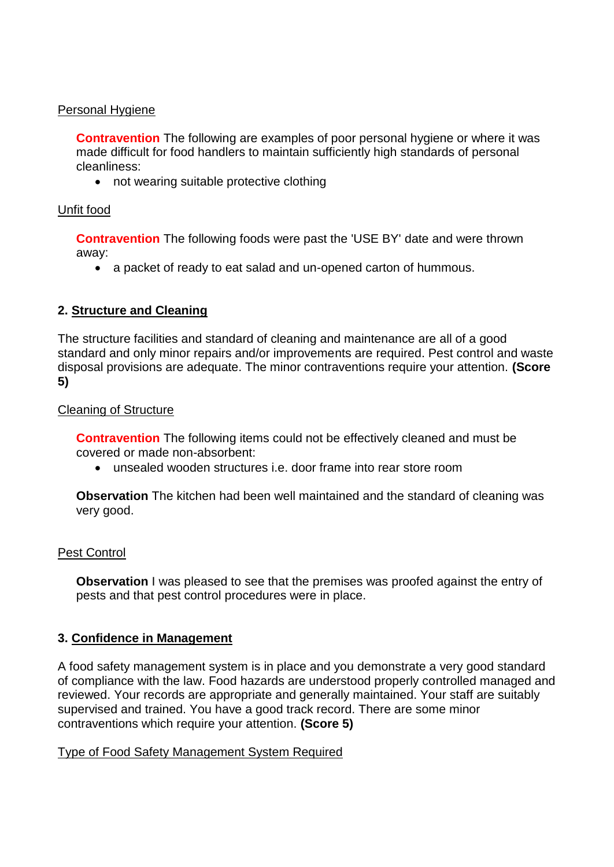### Personal Hygiene

**Contravention** The following are examples of poor personal hygiene or where it was made difficult for food handlers to maintain sufficiently high standards of personal cleanliness:

• not wearing suitable protective clothing

### Unfit food

**Contravention** The following foods were past the 'USE BY' date and were thrown away:

a packet of ready to eat salad and un-opened carton of hummous.

## **2. Structure and Cleaning**

The structure facilities and standard of cleaning and maintenance are all of a good standard and only minor repairs and/or improvements are required. Pest control and waste disposal provisions are adequate. The minor contraventions require your attention. **(Score 5)**

### Cleaning of Structure

**Contravention** The following items could not be effectively cleaned and must be covered or made non-absorbent:

unsealed wooden structures i.e. door frame into rear store room

**Observation** The kitchen had been well maintained and the standard of cleaning was very good.

## Pest Control

**Observation** I was pleased to see that the premises was proofed against the entry of pests and that pest control procedures were in place.

## **3. Confidence in Management**

A food safety management system is in place and you demonstrate a very good standard of compliance with the law. Food hazards are understood properly controlled managed and reviewed. Your records are appropriate and generally maintained. Your staff are suitably supervised and trained. You have a good track record. There are some minor contraventions which require your attention. **(Score 5)**

#### Type of Food Safety Management System Required